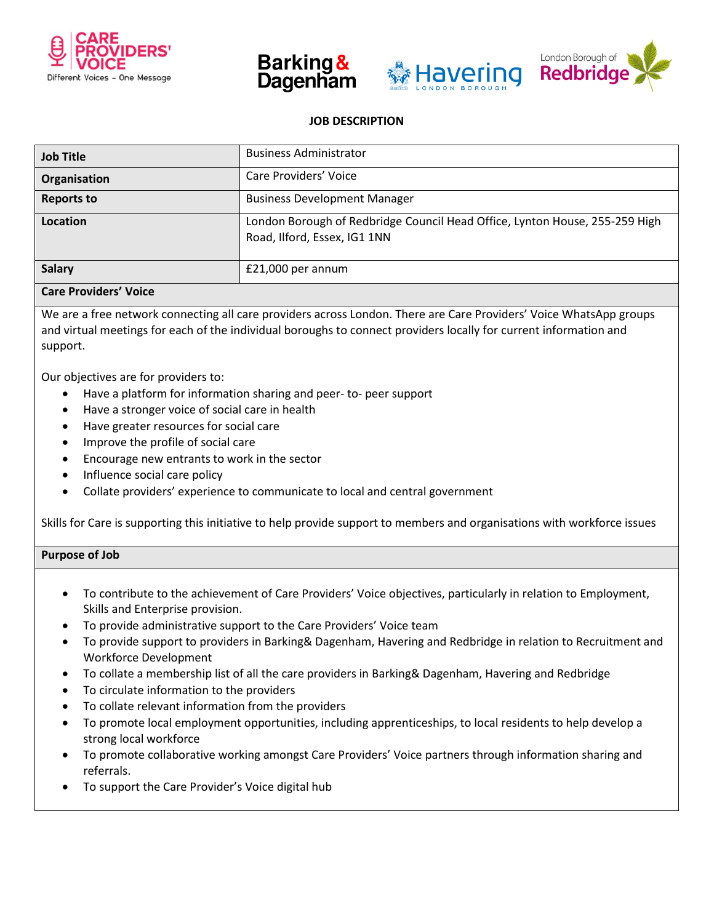







# **JOB DESCRIPTION**

| <b>Job Title</b>  | <b>Business Administrator</b>                                                                               |
|-------------------|-------------------------------------------------------------------------------------------------------------|
| Organisation      | Care Providers' Voice                                                                                       |
| <b>Reports to</b> | <b>Business Development Manager</b>                                                                         |
| Location          | London Borough of Redbridge Council Head Office, Lynton House, 255-259 High<br>Road, Ilford, Essex, IG1 1NN |
| <b>Salary</b>     | $£21,000$ per annum                                                                                         |

## **Care Providers' Voice**

We are a free network connecting all care providers across London. There are Care Providers' Voice WhatsApp groups and virtual meetings for each of the individual boroughs to connect providers locally for current information and support.

Our objectives are for providers to:

- Have a platform for information sharing and peer- to- peer support
- Have a stronger voice of social care in health
- Have greater resources for social care
- Improve the profile of social care
- Encourage new entrants to work in the sector
- Influence social care policy
- Collate providers' experience to communicate to local and central government

Skills for Care is supporting this initiative to help provide support to members and organisations with workforce issues

## **Purpose of Job**

- To contribute to the achievement of Care Providers' Voice objectives, particularly in relation to Employment, Skills and Enterprise provision.
- To provide administrative support to the Care Providers' Voice team
- To provide support to providers in Barking& Dagenham, Havering and Redbridge in relation to Recruitment and Workforce Development
- To collate a membership list of all the care providers in Barking& Dagenham, Havering and Redbridge
- To circulate information to the providers
- To collate relevant information from the providers
- To promote local employment opportunities, including apprenticeships, to local residents to help develop a strong local workforce
- To promote collaborative working amongst Care Providers' Voice partners through information sharing and referrals.
- To support the Care Provider's Voice digital hub